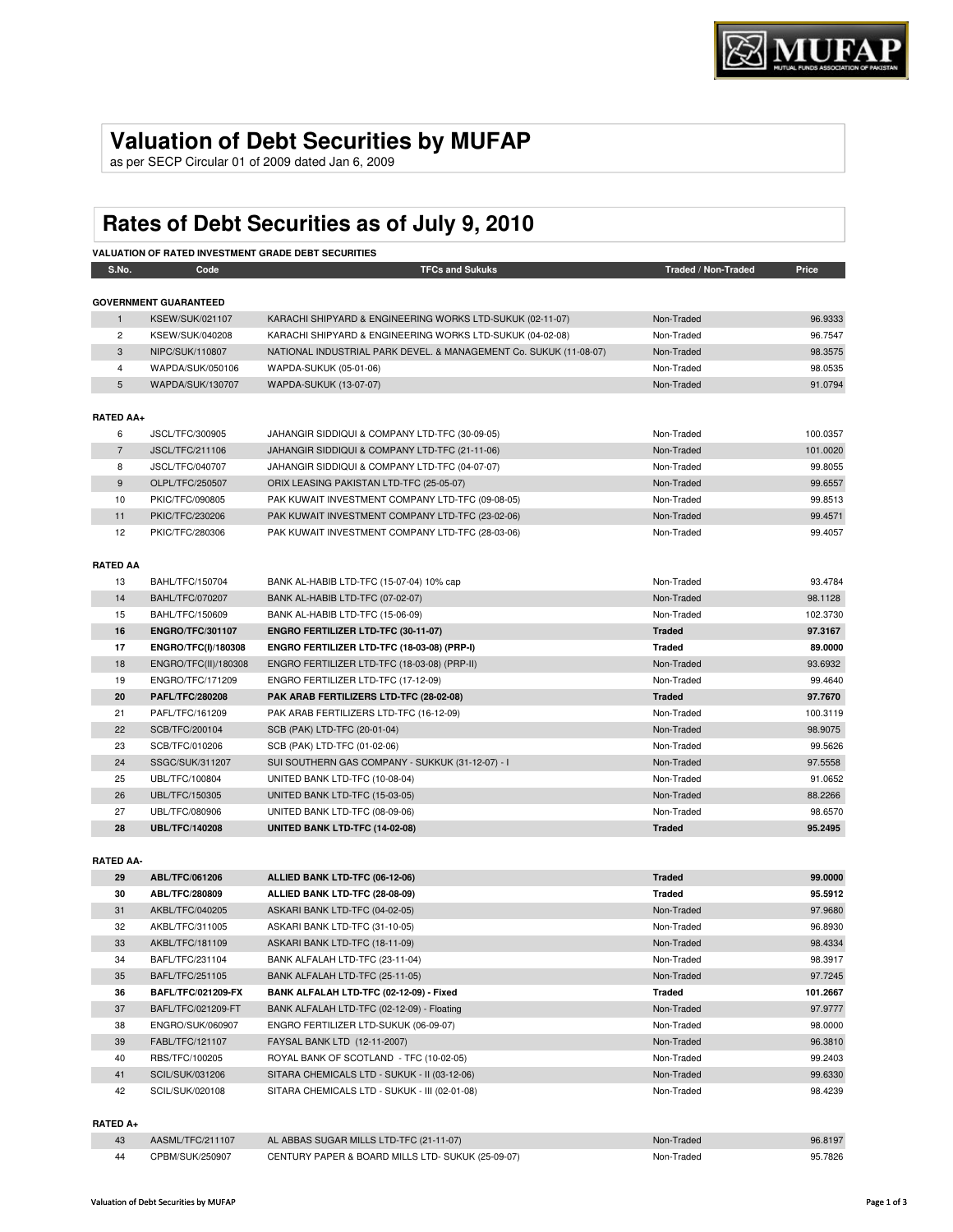## **Valuation of Debt Securities by MUFAP**

as per SECP Circular 01 of 2009 dated Jan 6, 2009

# **Rates of Debt Securities as of July 9, 2010**

|                  |                              | <b>VALUATION OF RATED INVESTMENT GRADE DEBT SECURITIES</b>        |                     |          |
|------------------|------------------------------|-------------------------------------------------------------------|---------------------|----------|
| S.No.            | Code                         | <b>TFCs and Sukuks</b>                                            | Traded / Non-Traded | Price    |
|                  | <b>GOVERNMENT GUARANTEED</b> |                                                                   |                     |          |
| $\mathbf{1}$     | <b>KSEW/SUK/021107</b>       | KARACHI SHIPYARD & ENGINEERING WORKS LTD-SUKUK (02-11-07)         | Non-Traded          | 96.9333  |
| $\overline{c}$   | KSEW/SUK/040208              | KARACHI SHIPYARD & ENGINEERING WORKS LTD-SUKUK (04-02-08)         | Non-Traded          | 96.7547  |
| 3                | NIPC/SUK/110807              | NATIONAL INDUSTRIAL PARK DEVEL. & MANAGEMENT Co. SUKUK (11-08-07) | Non-Traded          | 98.3575  |
| $\overline{4}$   | WAPDA/SUK/050106             | WAPDA-SUKUK (05-01-06)                                            | Non-Traded          | 98.0535  |
| 5                | WAPDA/SUK/130707             | WAPDA-SUKUK (13-07-07)                                            | Non-Traded          | 91.0794  |
|                  |                              |                                                                   |                     |          |
| <b>RATED AA+</b> |                              |                                                                   |                     |          |
| 6                | JSCL/TFC/300905              | JAHANGIR SIDDIQUI & COMPANY LTD-TFC (30-09-05)                    | Non-Traded          | 100.0357 |
| $\overline{7}$   | JSCL/TFC/211106              | JAHANGIR SIDDIQUI & COMPANY LTD-TFC (21-11-06)                    | Non-Traded          | 101.0020 |
| 8                | JSCL/TFC/040707              | JAHANGIR SIDDIQUI & COMPANY LTD-TFC (04-07-07)                    | Non-Traded          | 99.8055  |
| 9                | OLPL/TFC/250507              | ORIX LEASING PAKISTAN LTD-TFC (25-05-07)                          | Non-Traded          | 99.6557  |
| 10               | PKIC/TFC/090805              | PAK KUWAIT INVESTMENT COMPANY LTD-TFC (09-08-05)                  | Non-Traded          | 99.8513  |
| 11               | PKIC/TFC/230206              | PAK KUWAIT INVESTMENT COMPANY LTD-TFC (23-02-06)                  | Non-Traded          | 99.4571  |
| 12               | PKIC/TFC/280306              | PAK KUWAIT INVESTMENT COMPANY LTD-TFC (28-03-06)                  | Non-Traded          | 99.4057  |
| <b>RATED AA</b>  |                              |                                                                   |                     |          |
| 13               | BAHL/TFC/150704              | BANK AL-HABIB LTD-TFC (15-07-04) 10% cap                          | Non-Traded          | 93.4784  |
| 14               | <b>BAHL/TFC/070207</b>       | BANK AL-HABIB LTD-TFC (07-02-07)                                  | Non-Traded          | 98.1128  |
| 15               | BAHL/TFC/150609              | BANK AL-HABIB LTD-TFC (15-06-09)                                  | Non-Traded          | 102.3730 |
| 16               | <b>ENGRO/TFC/301107</b>      | ENGRO FERTILIZER LTD-TFC (30-11-07)                               | <b>Traded</b>       | 97.3167  |
| 17               | ENGRO/TFC(I)/180308          | ENGRO FERTILIZER LTD-TFC (18-03-08) (PRP-I)                       | <b>Traded</b>       | 89.0000  |
| 18               | ENGRO/TFC(II)/180308         | ENGRO FERTILIZER LTD-TFC (18-03-08) (PRP-II)                      | Non-Traded          | 93.6932  |
| 19               | ENGRO/TFC/171209             | ENGRO FERTILIZER LTD-TFC (17-12-09)                               | Non-Traded          | 99.4640  |
| 20               | <b>PAFL/TFC/280208</b>       | PAK ARAB FERTILIZERS LTD-TFC (28-02-08)                           | <b>Traded</b>       | 97.7670  |
| 21               | PAFL/TFC/161209              | PAK ARAB FERTILIZERS LTD-TFC (16-12-09)                           | Non-Traded          | 100.3119 |
| 22               | SCB/TFC/200104               | SCB (PAK) LTD-TFC (20-01-04)                                      | Non-Traded          | 98.9075  |
| 23               | SCB/TFC/010206               | SCB (PAK) LTD-TFC (01-02-06)                                      | Non-Traded          | 99.5626  |
| 24               | SSGC/SUK/311207              | SUI SOUTHERN GAS COMPANY - SUKKUK (31-12-07) - I                  | Non-Traded          | 97.5558  |
| 25               | UBL/TFC/100804               | UNITED BANK LTD-TFC (10-08-04)                                    | Non-Traded          | 91.0652  |
| 26               | UBL/TFC/150305               | UNITED BANK LTD-TFC (15-03-05)                                    | Non-Traded          | 88.2266  |
| 27               | UBL/TFC/080906               | UNITED BANK LTD-TFC (08-09-06)                                    | Non-Traded          | 98.6570  |
| 28               | <b>UBL/TFC/140208</b>        | UNITED BANK LTD-TFC (14-02-08)                                    | <b>Traded</b>       | 95.2495  |
|                  |                              |                                                                   |                     |          |
| <b>RATED AA-</b> |                              |                                                                   |                     |          |
| 29               | ABL/TFC/061206               | ALLIED BANK LTD-TFC (06-12-06)                                    | <b>Traded</b>       | 99.0000  |
| 30               | ABL/TFC/280809               | ALLIED BANK LTD-TFC (28-08-09)                                    | <b>Traded</b>       | 95.5912  |
| 31               | AKBL/TFC/040205              | ASKARI BANK LTD-TFC (04-02-05)                                    | Non-Traded          | 97.9680  |
| ດດ               | AIZDI /TEC/01100E            | ACIZADI DANIZ LTD TEC (91 10 0E)                                  | Non Trodod          | ne popo  |

| 31 | AKBL/TFC/040205           | ASKARI BANK LTD-TFC (04-02-05)                | Non-Traded | 97.9680  |
|----|---------------------------|-----------------------------------------------|------------|----------|
| 32 | AKBL/TFC/311005           | ASKARI BANK LTD-TFC (31-10-05)                | Non-Traded | 96.8930  |
| 33 | AKBL/TFC/181109           | ASKARI BANK LTD-TFC (18-11-09)                | Non-Traded | 98.4334  |
| 34 | BAFL/TFC/231104           | BANK ALFALAH LTD-TFC (23-11-04)               | Non-Traded | 98.3917  |
| 35 | BAFL/TFC/251105           | BANK ALFALAH LTD-TFC (25-11-05)               | Non-Traded | 97.7245  |
| 36 | <b>BAFL/TFC/021209-FX</b> | BANK ALFALAH LTD-TFC (02-12-09) - Fixed       | Traded     | 101.2667 |
| 37 | BAFL/TFC/021209-FT        | BANK ALFALAH LTD-TFC (02-12-09) - Floating    | Non-Traded | 97.9777  |
| 38 | ENGRO/SUK/060907          | ENGRO FERTILIZER LTD-SUKUK (06-09-07)         | Non-Traded | 98,0000  |
| 39 | FABL/TFC/121107           | FAYSAL BANK LTD (12-11-2007)                  | Non-Traded | 96.3810  |
| 40 | RBS/TFC/100205            | ROYAL BANK OF SCOTLAND - TFC (10-02-05)       | Non-Traded | 99.2403  |
| 41 | SCIL/SUK/031206           | SITARA CHEMICALS LTD - SUKUK - II (03-12-06)  | Non-Traded | 99.6330  |
| 42 | SCIL/SUK/020108           | SITARA CHEMICALS LTD - SUKUK - III (02-01-08) | Non-Traded | 98.4239  |
|    |                           |                                               |            |          |

#### **RATED A+**

| 43  | AASML/TFC/211107 | AL ABBAS SUGAR MILLS LTD-TFC (21-11-07)           | Non-Traded | 96.8197 |
|-----|------------------|---------------------------------------------------|------------|---------|
| -44 | CPBM/SUK/250907  | CENTURY PAPER & BOARD MILLS LTD- SUKUK (25-09-07) | Non-Traded | 95.7826 |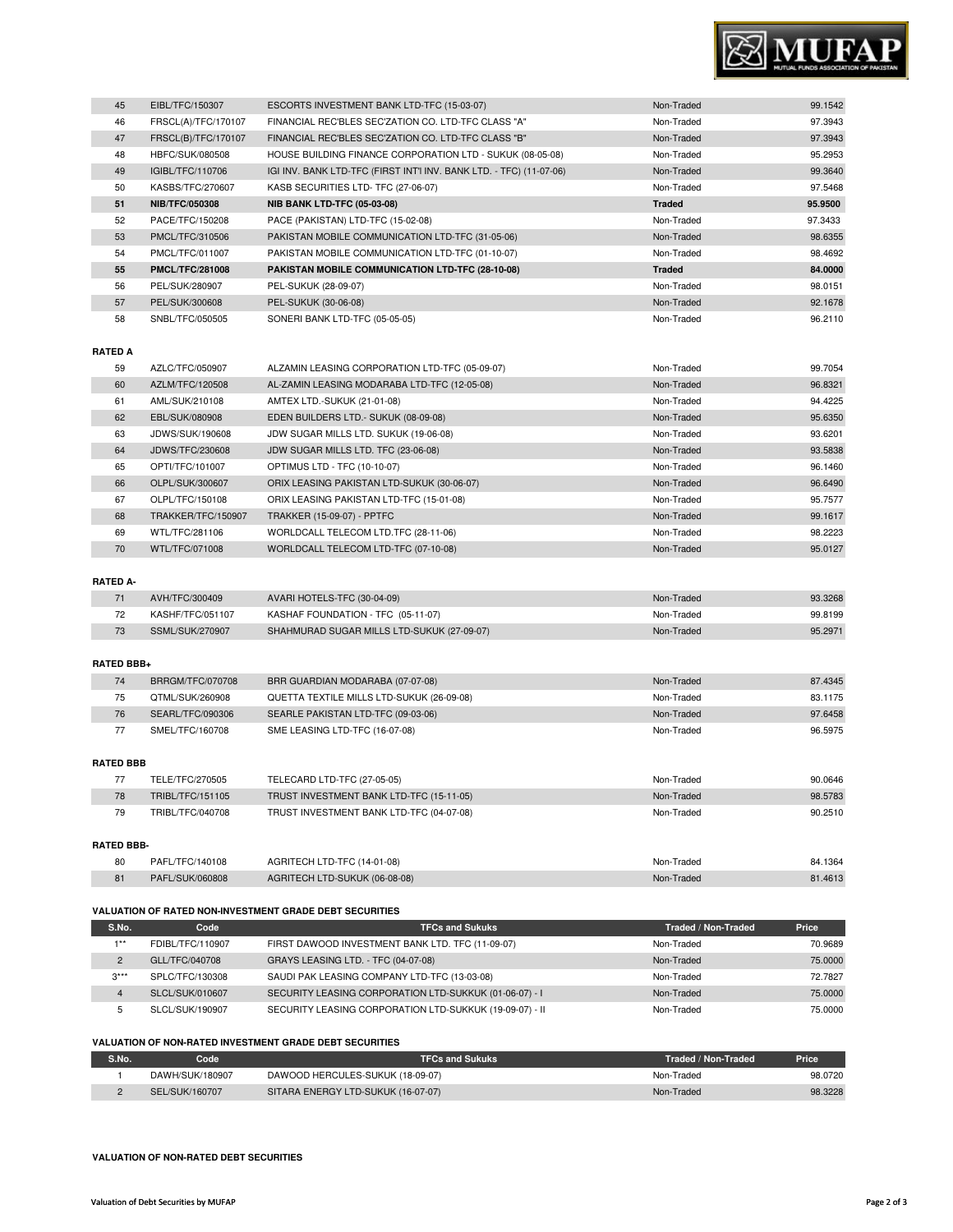

| 45 | EIBL/TFC/150307        | ESCORTS INVESTMENT BANK LTD-TFC (15-03-07)                          | Non-Traded    | 99.1542 |
|----|------------------------|---------------------------------------------------------------------|---------------|---------|
| 46 | FRSCL(A)/TFC/170107    | FINANCIAL REC'BLES SEC'ZATION CO. LTD-TFC CLASS "A"                 | Non-Traded    | 97.3943 |
| 47 | FRSCL(B)/TFC/170107    | FINANCIAL REC'BLES SEC'ZATION CO. LTD-TFC CLASS "B"                 | Non-Traded    | 97.3943 |
| 48 | HBFC/SUK/080508        | HOUSE BUILDING FINANCE CORPORATION LTD - SUKUK (08-05-08)           | Non-Traded    | 95.2953 |
| 49 | IGIBL/TFC/110706       | IGI INV. BANK LTD-TFC (FIRST INT'I INV. BANK LTD. - TFC) (11-07-06) | Non-Traded    | 99.3640 |
| 50 | KASBS/TFC/270607       | KASB SECURITIES LTD- TFC (27-06-07)                                 | Non-Traded    | 97.5468 |
| 51 | <b>NIB/TFC/050308</b>  | <b>NIB BANK LTD-TFC (05-03-08)</b>                                  | <b>Traded</b> | 95.9500 |
| 52 | PACE/TFC/150208        | PACE (PAKISTAN) LTD-TFC (15-02-08)                                  | Non-Traded    | 97.3433 |
| 53 | PMCL/TFC/310506        | PAKISTAN MOBILE COMMUNICATION LTD-TFC (31-05-06)                    | Non-Traded    | 98.6355 |
| 54 | PMCL/TFC/011007        | PAKISTAN MOBILE COMMUNICATION LTD-TFC (01-10-07)                    | Non-Traded    | 98.4692 |
| 55 | <b>PMCL/TFC/281008</b> | PAKISTAN MOBILE COMMUNICATION LTD-TFC (28-10-08)                    | <b>Traded</b> | 84.0000 |
| 56 | PEL/SUK/280907         | PEL-SUKUK (28-09-07)                                                | Non-Traded    | 98.0151 |
| 57 | PEL/SUK/300608         | PEL-SUKUK (30-06-08)                                                | Non-Traded    | 92.1678 |
| 58 | SNBL/TFC/050505        | SONERI BANK LTD-TFC (05-05-05)                                      | Non-Traded    | 96.2110 |
|    |                        |                                                                     |               |         |

#### **RATED A**

I

| 59 | AZLC/TFC/050907    | ALZAMIN LEASING CORPORATION LTD-TFC (05-09-07) | Non-Traded | 99.7054 |
|----|--------------------|------------------------------------------------|------------|---------|
| 60 | AZLM/TFC/120508    | AL-ZAMIN LEASING MODARABA LTD-TFC (12-05-08)   | Non-Traded | 96.8321 |
| 61 | AML/SUK/210108     | AMTEX LTD.-SUKUK (21-01-08)                    | Non-Traded | 94.4225 |
| 62 | EBL/SUK/080908     | EDEN BUILDERS LTD. - SUKUK (08-09-08)          | Non-Traded | 95.6350 |
| 63 | JDWS/SUK/190608    | JDW SUGAR MILLS LTD. SUKUK (19-06-08)          | Non-Traded | 93.6201 |
| 64 | JDWS/TFC/230608    | JDW SUGAR MILLS LTD. TFC (23-06-08)            | Non-Traded | 93.5838 |
| 65 | OPTI/TFC/101007    | OPTIMUS LTD - TFC (10-10-07)                   | Non-Traded | 96.1460 |
| 66 | OLPL/SUK/300607    | ORIX LEASING PAKISTAN LTD-SUKUK (30-06-07)     | Non-Traded | 96.6490 |
| 67 | OLPL/TFC/150108    | ORIX LEASING PAKISTAN LTD-TFC (15-01-08)       | Non-Traded | 95.7577 |
| 68 | TRAKKER/TFC/150907 | <b>TRAKKER (15-09-07) - PPTFC</b>              | Non-Traded | 99.1617 |
| 69 | WTL/TFC/281106     | WORLDCALL TELECOM LTD.TFC (28-11-06)           | Non-Traded | 98.2223 |
| 70 | WTL/TFC/071008     | WORLDCALL TELECOM LTD-TFC (07-10-08)           | Non-Traded | 95.0127 |

### **RATED A-**

| AVH/TFC/300409   | AVARI HOTELS-TFC (30-04-09)                | Non-Traded | 93.3268 |
|------------------|--------------------------------------------|------------|---------|
| KASHF/TFC/051107 | KASHAF FOUNDATION - TFC (05-11-07)         | Non-Traded | 99.8199 |
| SSML/SUK/270907  | SHAHMURAD SUGAR MILLS LTD-SUKUK (27-09-07) | Non-Traded | 95.2971 |

#### **RATED BBB+**

| 74 | BRRGM/TFC/070708 | BRR GUARDIAN MODARABA (07-07-08)          | Non-Traded | 87.4345 |
|----|------------------|-------------------------------------------|------------|---------|
| 75 | QTML/SUK/260908  | QUETTA TEXTILE MILLS LTD-SUKUK (26-09-08) | Non-Traded | 83.1175 |
| 76 | SEARL/TFC/090306 | SEARLE PAKISTAN LTD-TFC (09-03-06)        | Non-Traded | 97.6458 |
| 77 | SMEL/TFC/160708  | SME LEASING LTD-TFC (16-07-08)            | Non-Traded | 96.5975 |

#### **RATED BBB**

|                   | TELE/TFC/270505  | TELECARD LTD-TFC (27-05-05)              | Non-Traded | 90.0646 |  |
|-------------------|------------------|------------------------------------------|------------|---------|--|
| 78                | TRIBL/TFC/151105 | TRUST INVESTMENT BANK LTD-TFC (15-11-05) | Non-Traded | 98,5783 |  |
| 79                | TRIBL/TFC/040708 | TRUST INVESTMENT BANK LTD-TFC (04-07-08) | Non-Traded | 90.2510 |  |
|                   |                  |                                          |            |         |  |
| <b>RATED BBB-</b> |                  |                                          |            |         |  |

| 80 | PAFL/TFC/140108 | AGRITECH LTD-TFC (14-01-08)   | Traded<br>Non-i | 84.1364 |
|----|-----------------|-------------------------------|-----------------|---------|
| 81 | PAFL/SUK/060808 | AGRITECH LTD-SUKUK (06-08-08) | Non-Traded      | 1.461   |

#### **VALUATION OF RATED NON-INVESTMENT GRADE DEBT SECURITIES**

| S.No.          | Code             | <b>TFCs and Sukuks</b>                                  | Traded / Non-Traded | Price   |
|----------------|------------------|---------------------------------------------------------|---------------------|---------|
| $4 * *$        | FDIBL/TFC/110907 | FIRST DAWOOD INVESTMENT BANK LTD. TFC (11-09-07)        | Non-Traded          | 70.9689 |
| $\overline{2}$ | GLL/TFC/040708   | GRAYS LEASING LTD. - TFC (04-07-08)                     | Non-Traded          | 75,0000 |
| $3***$         | SPLC/TFC/130308  | SAUDI PAK LEASING COMPANY LTD-TFC (13-03-08)            | Non-Traded          | 72.7827 |
| 4              | SLCL/SUK/010607  | SECURITY LEASING CORPORATION LTD-SUKKUK (01-06-07) - I  | Non-Traded          | 75,0000 |
| 5              | SLCL/SUK/190907  | SECURITY LEASING CORPORATION LTD-SUKKUK (19-09-07) - II | Non-Traded          | 75,0000 |

#### **VALUATION OF NON-RATED INVESTMENT GRADE DEBT SECURITIES**

| S.No. | Code            | <b>TFCs and Sukuks</b>             | Traded / Non-Traded | Price   |
|-------|-----------------|------------------------------------|---------------------|---------|
|       | DAWH/SUK/180907 | DAWOOD HERCULES-SUKUK (18-09-07)   | Non-Traded          | 98.0720 |
|       | SEL/SUK/160707  | SITARA ENERGY LTD-SUKUK (16-07-07) | Non-Traded          | 98.3228 |